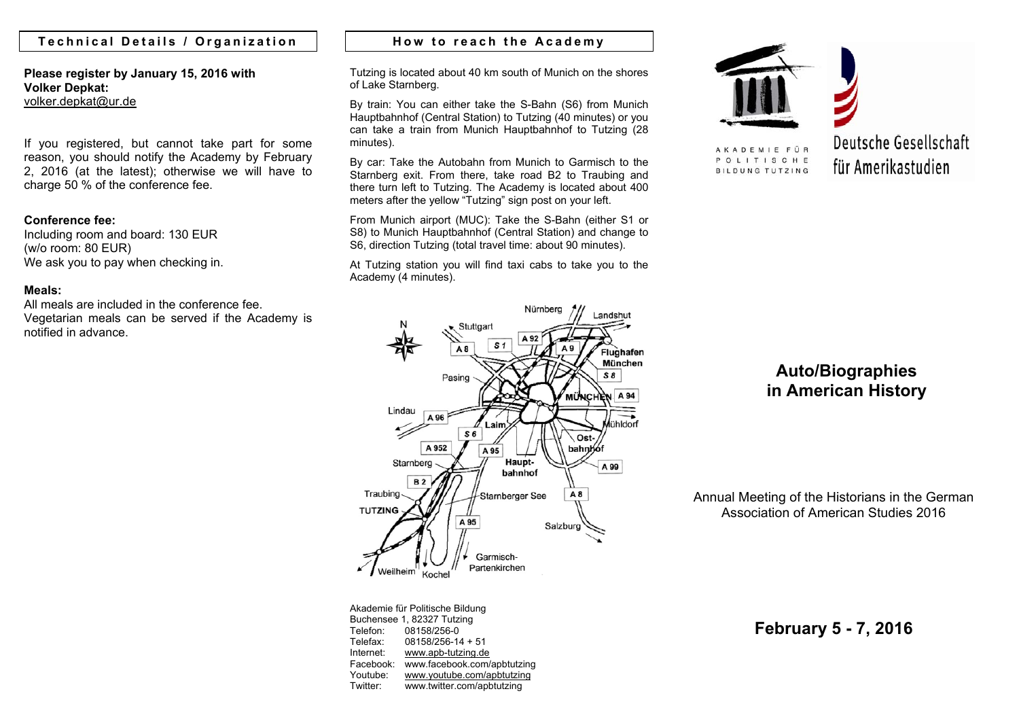## **Technical Details / Organization**

**Please register by January 15, 2016 with Volker Depkat:** volker.depkat@ur.de

If you registered, but cannot take part for some reason, you should notify the Academy by February 2, 2016 (at the latest); otherwise we will have to charge 50 % of the conference fee.

## **Conference fee:**

Including room and board: 130 EUR (w/o room: 80 EUR) We ask you to pay when checking in.

## **Meals:**

All meals are included in the conference fee. Vegetarian meals can be served if the Academy is notified in advance.

## **How to reach the Academy**

Tutzing is located about 40 km south of Munich on the shores of Lake Starnberg.

By train: You can either take the S-Bahn (S6) from Munich Hauptbahnhof (Central Station) to Tutzing (40 minutes) or you can take a train from Munich Hauptbahnhof to Tutzing (28 minutes).

By car: Take the Autobahn from Munich to Garmisch to the Starnberg exit. From there, take road B2 to Traubing and there turn left to Tutzing. The Academy is located about 400 meters after the yellow "Tutzing" sign post on your left.

From Munich airport (MUC): Take the S-Bahn (either S1 or S8) to Munich Hauptbahnhof (Central Station) and change to S6, direction Tutzing (total travel time: about 90 minutes).

At Tutzing station you will find taxi cabs to take you to the Academy (4 minutes).



AKADEMIE FÜR POLITISCHE

**BILDUNG TUTZING** 

Deutsche Gesellschaft für Amerikastudien



Akademie für Politische Bildung Buchensee 1, 82327 Tutzing Telefon: 08158/256-0 Telefax: 08158/256-14 + 51 Internet: www.apb-tutzing.de Facebook: www.facebook.com/apbtutzing Youtube: www.youtube.com/apbtutzing Twitter: www.twitter.com/apbtutzing

# **Auto/Biographies in American History**

Annual Meeting of the Historians in the German Association of American Studies 2016

**February 5 - 7, 2016**